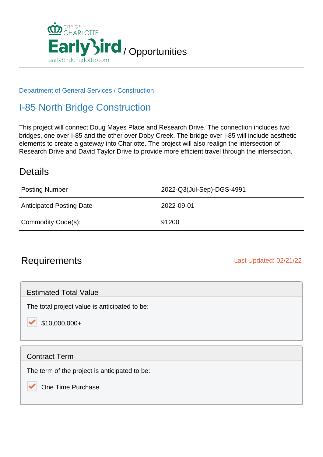

### Department of General Services / Construction

## I-85 North Bridge Construction

This project will connect Doug Mayes Place and Research Drive. The connection includes two bridges, one over I-85 and the other over Doby Creek. The bridge over I-85 will include aesthetic elements to create a gateway into Charlotte. The project will also realign the intersection of Research Drive and David Taylor Drive to provide more efficient travel through the intersection.

### **Details**

| <b>Posting Number</b>           | 2022-Q3(Jul-Sep)-DGS-4991 |
|---------------------------------|---------------------------|
| <b>Anticipated Posting Date</b> | 2022-09-01                |
| Commodity Code(s):              | 91200                     |

### Requirements **Last Updated: 02/21/22**

Estimated Total Value

The total project value is anticipated to be:

 $\blacktriangleright$  \$10,000,000+

#### Contract Term

The term of the project is anticipated to be:

One Time Purchase